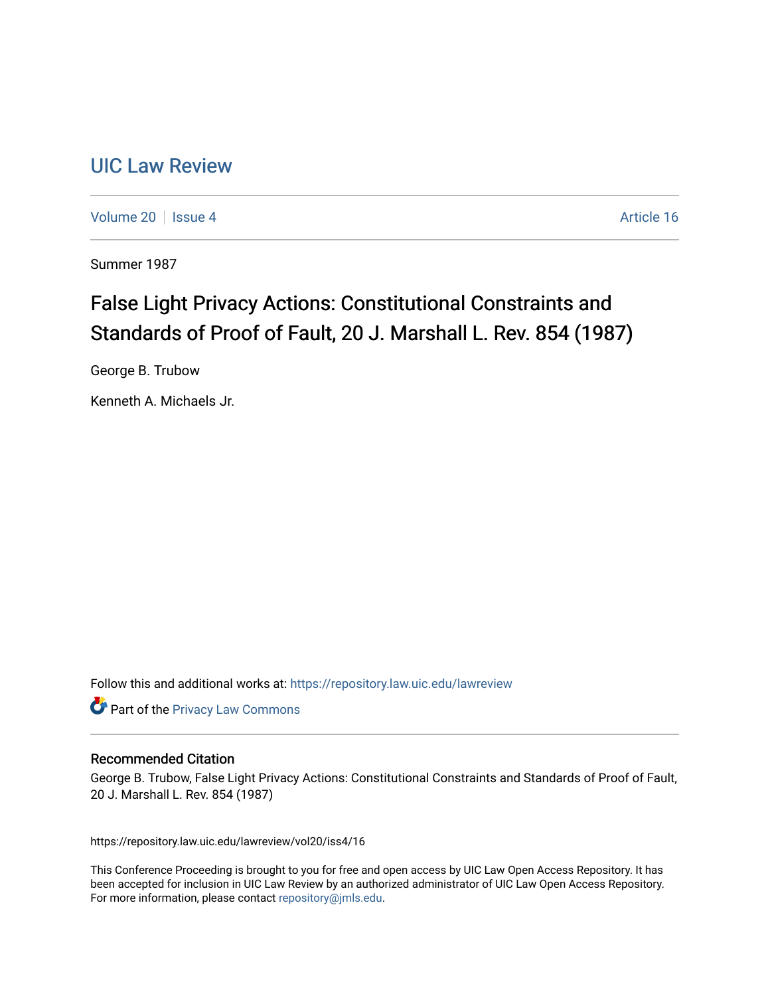# [UIC Law Review](https://repository.law.uic.edu/lawreview)

[Volume 20](https://repository.law.uic.edu/lawreview/vol20) | [Issue 4](https://repository.law.uic.edu/lawreview/vol20/iss4) Article 16

Summer 1987

# False Light Privacy Actions: Constitutional Constraints and Standards of Proof of Fault, 20 J. Marshall L. Rev. 854 (1987)

George B. Trubow

Kenneth A. Michaels Jr.

Follow this and additional works at: [https://repository.law.uic.edu/lawreview](https://repository.law.uic.edu/lawreview?utm_source=repository.law.uic.edu%2Flawreview%2Fvol20%2Fiss4%2F16&utm_medium=PDF&utm_campaign=PDFCoverPages) 

**Part of the Privacy Law Commons** 

# Recommended Citation

George B. Trubow, False Light Privacy Actions: Constitutional Constraints and Standards of Proof of Fault, 20 J. Marshall L. Rev. 854 (1987)

https://repository.law.uic.edu/lawreview/vol20/iss4/16

This Conference Proceeding is brought to you for free and open access by UIC Law Open Access Repository. It has been accepted for inclusion in UIC Law Review by an authorized administrator of UIC Law Open Access Repository. For more information, please contact [repository@jmls.edu](mailto:repository@jmls.edu).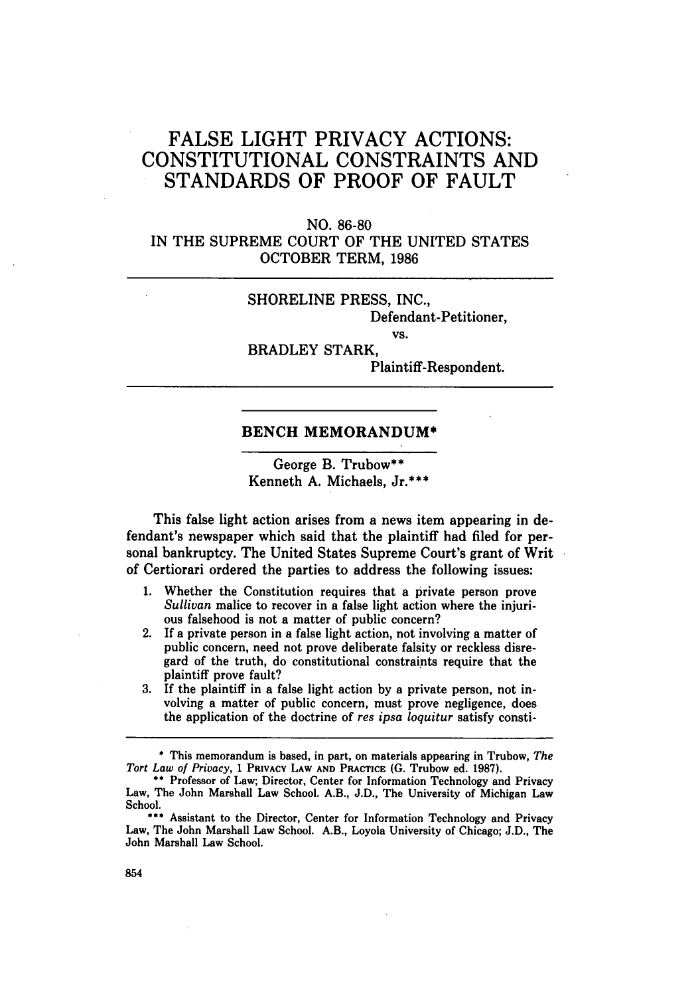# **FALSE** LIGHT PRIVACY ACTIONS: CONSTITUTIONAL CONSTRAINTS **AND STANDARDS** OF PROOF OF **FAULT**

**NO. 86-80** IN THE SUPREME COURT OF THE UNITED STATES OCTOBER TERM, 1986

# SHORELINE PRESS, INC., Defendant-Petitioner,

VS.

BRADLEY STARK,

Plaintiff-Respondent.

# **BENCH MEMORANDUM\***

George B. Trubow\*\* Kenneth **A.** Michaels, Jr.\*\*\*

This false light action arises from a news item appearing in defendant's newspaper which said that the plaintiff had filed for personal bankruptcy. The United States Supreme Court's grant of Writ of Certiorari ordered the parties to address the following issues:

- **1.** Whether the Constitution requires that a private person prove *Sullivan* malice to recover in a false light action where the injurious falsehood is not a matter of public concern?
- 2. If a private person in a false light action, not involving a matter of public concern, need not prove deliberate falsity or reckless disregard of the truth, do constitutional constraints require that the plaintiff prove fault?
- **3. If** the plaintiff in a false light action **by** a private person, not involving a matter of public concern, must prove negligence, does the application of the doctrine of *res ipsa loquitur* satisfy consti-

**<sup>\*</sup>** This memorandum is based, in part, on materials appearing in Trubow, *The Tort Law of Privacy,* 1 **PRIVACY LAW AND PRACTICE (G.** Trubow ed. **1987).**

**<sup>\*\*</sup>** Professor of Law; Director, Center for Information Technology and Privacy Law, The John Marshall Law School. A.B., **J.D.,** The University of Michigan Law School.

Assistant to the Director, Center for Information Technology and Privacy Law, The John Marshall Law School. A.B., Loyola University of Chicago; **J.D.,** The John Marshall Law School.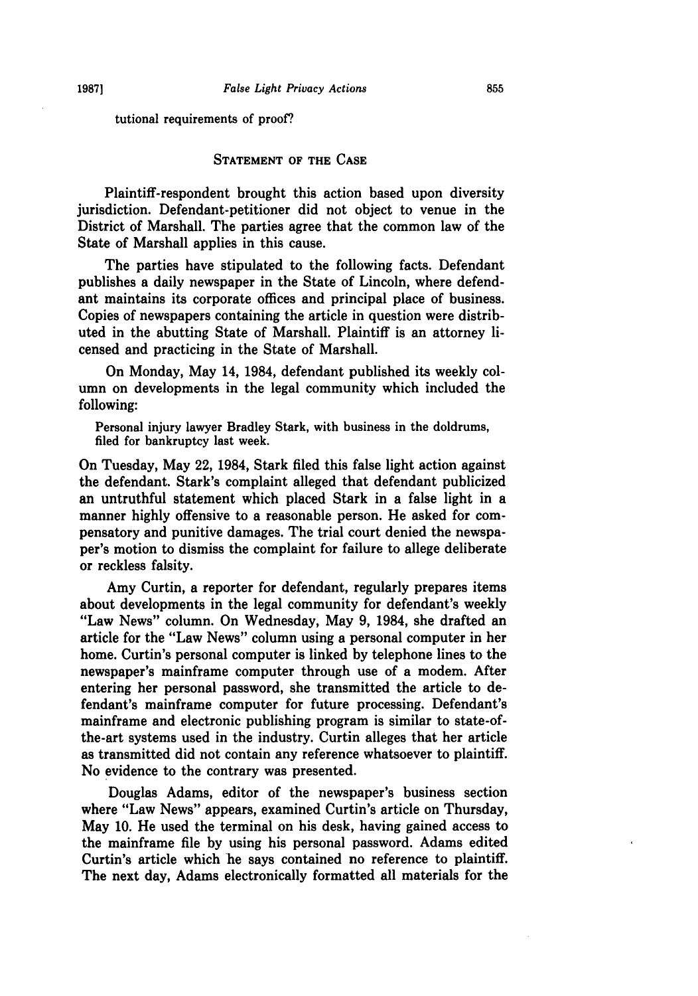tutional requirements of proof?

#### **STATEMENT** OF THE **CASE**

Plaintiff-respondent brought this action based upon diversity jurisdiction. Defendant-petitioner did not object to venue in the District of Marshall. The parties agree that the common law of the State of Marshall applies in this cause.

The parties have stipulated to the following facts. Defendant publishes a daily newspaper in the State of Lincoln, where defendant maintains its corporate offices and principal place of business. Copies of newspapers containing the article in question were distributed in the abutting State of Marshall. Plaintiff is an attorney licensed and practicing in the State of Marshall.

On Monday, May 14, 1984, defendant published its weekly column on developments in the legal community which included the following:

Personal injury lawyer Bradley Stark, with business in the doldrums, filed for bankruptcy last week.

On Tuesday, May 22, 1984, Stark filed this false light action against the defendant. Stark's complaint alleged that defendant publicized an untruthful statement which placed Stark in a false light in a manner highly offensive to a reasonable person. He asked for compensatory and punitive damages. The trial court denied the newspaper's motion to dismiss the complaint for failure to allege deliberate or reckless falsity.

Amy Curtin, a reporter for defendant, regularly prepares items about developments in the legal community for defendant's weekly "Law News" column. On Wednesday, May **9,** 1984, she drafted an article for the "Law News" column using a personal computer in her home. Curtin's personal computer is linked by telephone lines to the newspaper's mainframe computer through use of a modem. After entering her personal password, she transmitted the article to defendant's mainframe computer for future processing. Defendant's mainframe and electronic publishing program is similar to state-ofthe-art systems used in the industry. Curtin alleges that her article as transmitted did not contain any reference whatsoever to plaintiff. No evidence to the contrary was presented.

Douglas Adams, editor of the newspaper's business section where "Law News" appears, examined Curtin's article on Thursday, May **10.** He used the terminal on his desk, having gained access to the mainframe file by using his personal password. Adams edited Curtin's article which he says contained no reference to plaintiff. The next day, Adams electronically formatted all materials for the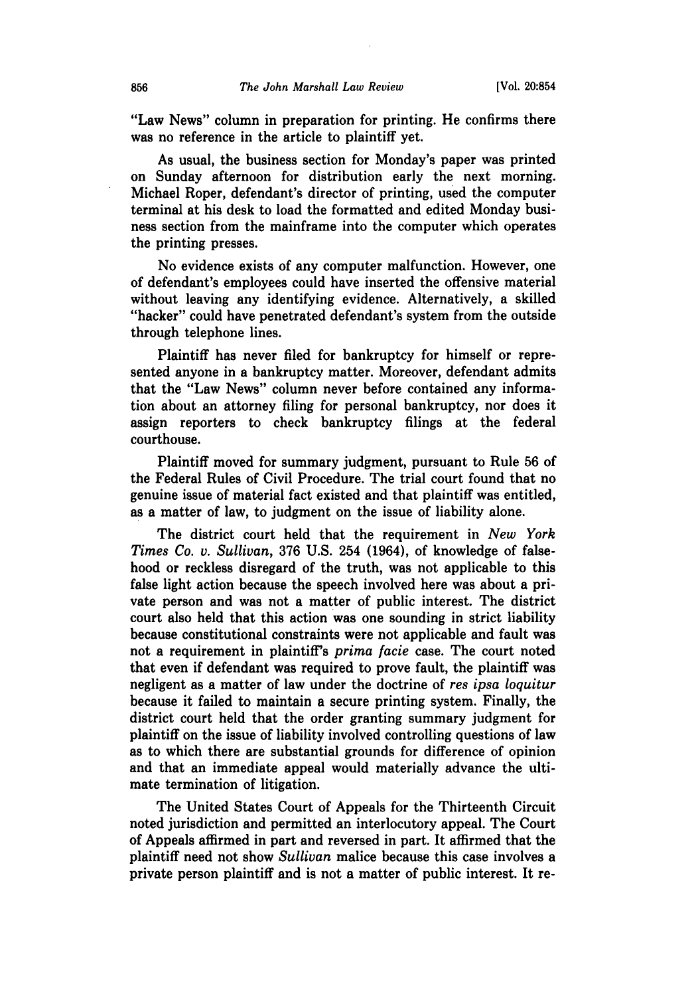"Law News" column in preparation for printing. He confirms there was no reference in the article to plaintiff yet.

As usual, the business section for Monday's paper was printed on Sunday afternoon for distribution early the next morning. Michael Roper, defendant's director of printing, used the computer terminal at his desk to load the formatted and edited Monday business section from the mainframe into the computer which operates the printing presses.

No evidence exists of any computer malfunction. However, one of defendant's employees could have inserted the offensive material without leaving any identifying evidence. Alternatively, a skilled "hacker" could have penetrated defendant's system from the outside through telephone lines.

Plaintiff has never filed for bankruptcy for himself or represented anyone in a bankruptcy matter. Moreover, defendant admits that the "Law News" column never before contained any information about an attorney filing for personal bankruptcy, nor does it assign reporters to check bankruptcy filings at the federal courthouse.

Plaintiff moved for summary judgment, pursuant to Rule **56** of the Federal Rules of Civil Procedure. The trial court found that no genuine issue of material fact existed and that plaintiff was entitled, as a matter of law, to judgment on the issue of liability alone.

The district court held that the requirement in *New York Times Co. v. Sullivan,* **376 U.S.** 254 (1964), of knowledge of falsehood or reckless disregard of the truth, was not applicable to this false light action because the speech involved here was about a private person and was not a matter of public interest. The district court also held that this action was one sounding in strict liability because constitutional constraints were not applicable and fault was not a requirement in plaintiff's *prima facie* case. The court noted that even if defendant was required to prove fault, the plaintiff was negligent as a matter of law under the doctrine of *res ipsa loquitur* because it failed to maintain a secure printing system. Finally, the district court held that the order granting summary judgment for plaintiff on the issue of liability involved controlling questions of law as to which there are substantial grounds for difference of opinion and that an immediate appeal would materially advance the ultimate termination of litigation.

The United States Court of Appeals for the Thirteenth Circuit noted jurisdiction and permitted an interlocutory appeal. The Court of Appeals affirmed in part and reversed in part. It affirmed that the plaintiff need not show *Sullivan* malice because this case involves a private person plaintiff and is not a matter of public interest. It re-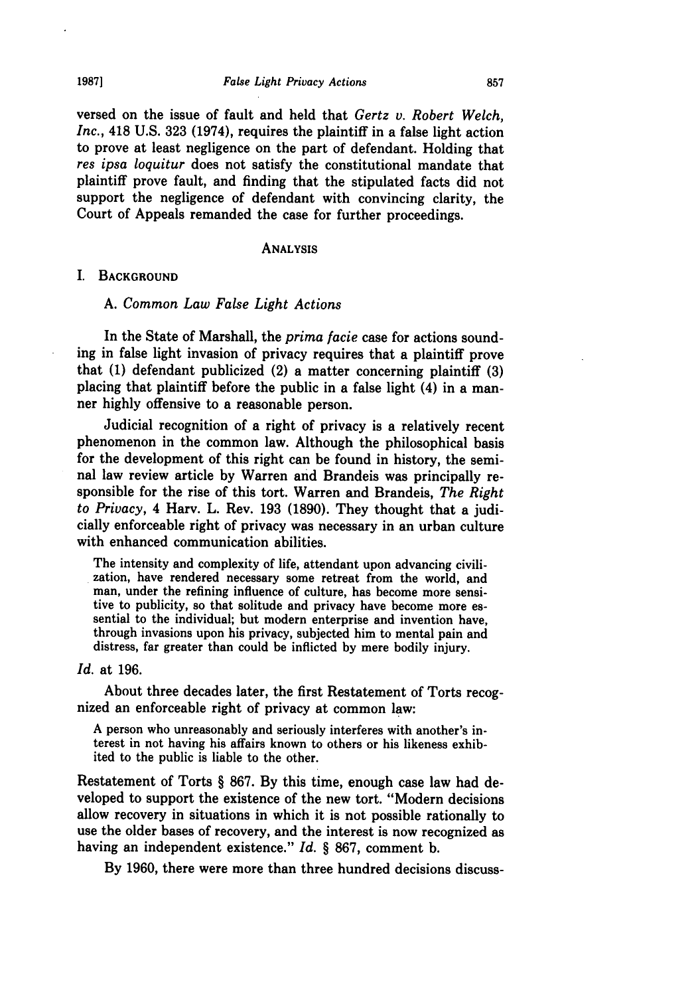versed on the issue of fault and held that *Gertz v. Robert Welch, Inc.,* 418 **U.S. 323** (1974), requires the plaintiff in a false light action to prove at least negligence on the part of defendant. Holding that *res ipsa loquitur* does not satisfy the constitutional mandate that plaintiff prove fault, and finding that the stipulated facts did not support the negligence of defendant with convincing clarity, the Court of Appeals remanded the case for further proceedings.

#### **ANALYSIS**

#### I. **BACKGROUND**

#### **A.** *Common Law False Light Actions*

In the State of Marshall, the *prima facie* case for actions sounding in false light invasion of privacy requires that a plaintiff prove that **(1)** defendant publicized (2) a matter concerning plaintiff **(3)** placing that plaintiff before the public in a false light (4) in a manner **highly** offensive to a reasonable person.

Judicial recognition of a right of privacy is a relatively recent phenomenon in the common law. Although the philosophical basis for the development of this right can be found in history, the seminal law review article **by** Warren and Brandeis was principally responsible for the rise of this tort. Warren and Brandeis, *The Right to Privacy,* 4 Harv. L. Rev. **193 (1890).** They thought that a judicially enforceable right of privacy was necessary in an urban culture with enhanced communication abilities.

The intensity and complexity of life, attendant upon advancing civilization, have rendered necessary some retreat from the world, and man, under the refining influence of culture, has become more sensitive to publicity, so that solitude and privacy have become more essential to the individual; but modern enterprise and invention have, through invasions upon his privacy, subjected him to mental pain and distress, far greater than could be inflicted **by** mere bodily injury.

#### *Id.* at **196.**

About three decades later, the first Restatement of Torts recognized an enforceable right of privacy at common law:

**A** person who unreasonably and seriously interferes with another's interest in not having his affairs known to others or his likeness exhibited to the public is liable to the other.

Restatement of Torts § **867. By** this time, enough case law had developed to support the existence of the new tort. "Modern decisions allow recovery in situations in which it is not possible rationally to use the older bases of recovery, and the interest is now recognized as having an independent existence." *Id.* § **867,** comment **b.**

**By 1960,** there were more than three hundred decisions discuss-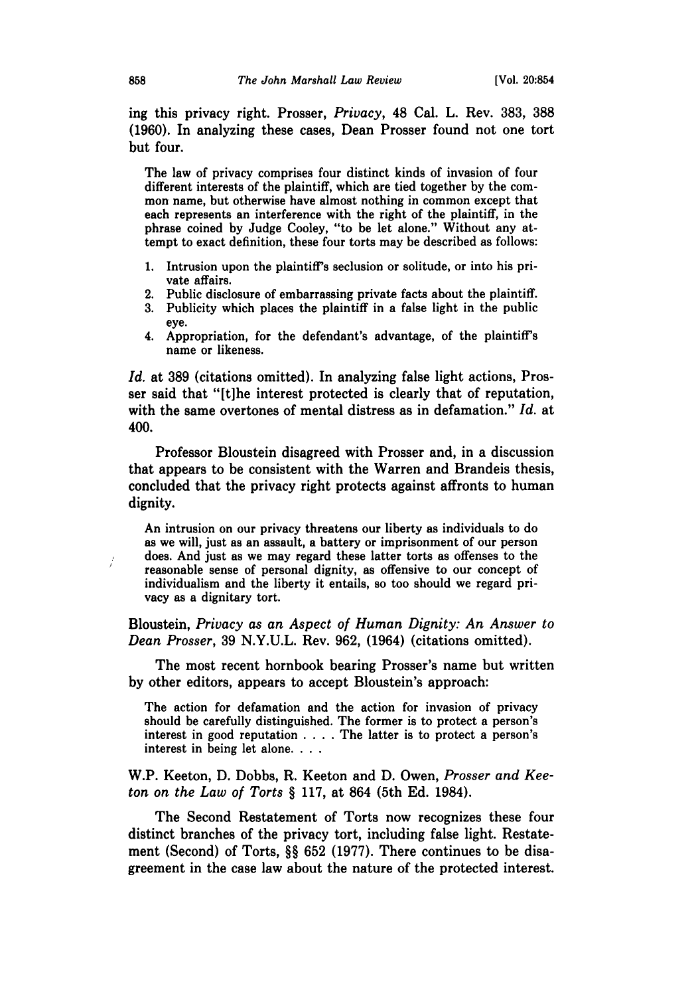ing this privacy right. Prosser, *Privacy,* 48 Cal. L. Rev. 383, **388** (1960). In analyzing these cases, Dean Prosser found not one tort but four.

The law of privacy comprises four distinct kinds of invasion of four different interests of the plaintiff, which are tied together by the common name, but otherwise have almost nothing in common except that each represents an interference with the right of the plaintiff, in the phrase coined by Judge Cooley, "to be let alone." Without any attempt to exact definition, these four torts may be described as follows:

- 1. Intrusion upon the plaintiff's seclusion or solitude, or into his private affairs.
- 2. Public disclosure of embarrassing private facts about the plaintiff.
- 3. Publicity which places the plaintiff in a false light in the public eye.
- 4. Appropriation, for the defendant's advantage, of the plaintiff's name or likeness.

*Id.* at 389 (citations omitted). In analyzing false light actions, Prosser said that "[tihe interest protected is clearly that of reputation, with the same overtones of mental distress as in defamation." *Id.* at 400.

Professor Bloustein disagreed with Prosser and, in a discussion that appears to be consistent with the Warren and Brandeis thesis, concluded that the privacy right protects against affronts to human dignity.

An intrusion on our privacy threatens our liberty as individuals to do as we will, just as an assault, a battery or imprisonment of our person does. And just as we may regard these latter torts as offenses to the reasonable sense of personal dignity, as offensive to our concept of individualism and the liberty it entails, so too should we regard privacy as a dignitary tort.

Bloustein, *Privacy as an Aspect of Human Dignity: An Answer to Dean Prosser,* 39 N.Y.U.L. Rev. 962, (1964) (citations omitted).

The most recent hornbook bearing Prosser's name but written by other editors, appears to accept Bloustein's approach:

The action for defamation and the action for invasion of privacy should be carefully distinguished. The former is to protect a person's interest in good reputation . **. .** . The latter is to protect a person's interest in being let alone. . **..**

W.P. Keeton, D. Dobbs, R. Keeton and D. Owen, *Prosser and Keeton on the Law of Torts* § 117, at 864 (5th Ed. 1984).

The Second Restatement of Torts now recognizes these four distinct branches of the privacy tort, including false light. Restatement (Second) of Torts, §§ 652 (1977). There continues to be disagreement in the case law about the nature of the protected interest.

Ť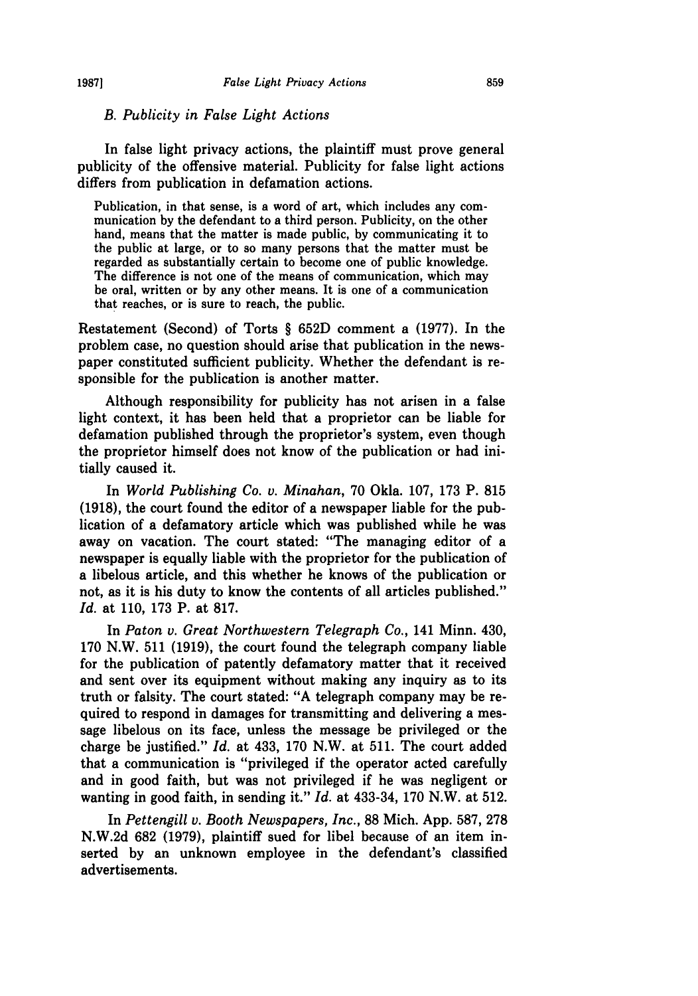#### *B. Publicity in False Light Actions*

In false light privacy actions, the plaintiff must prove general publicity of the offensive material. Publicity for false light actions differs from publication in defamation actions.

Publication, in that sense, is a word of art, which includes any communication by the defendant to a third person. Publicity, on the other hand, means that the matter is made public, by communicating it to the public at large, or to so many persons that the matter must be regarded as substantially certain to become one of public knowledge. The difference is not one of the means of communication, which may be oral, written or by any other means. It is one of a communication that reaches, or is sure to reach, the public.

Restatement (Second) of Torts § 652D comment a (1977). In the problem case, no question should arise that publication in the newspaper constituted sufficient publicity. Whether the defendant is responsible for the publication is another matter.

Although responsibility for publicity has not arisen in a false light context, it has been held that a proprietor can be liable for defamation published through the proprietor's system, even though the proprietor himself does not know of the publication or had initially caused it.

In *World Publishing Co. v. Minahan,* **70** Okla. **107, 173** P. **815 (1918),** the court found the editor of a newspaper liable for the publication of a defamatory article which was published while he was away on vacation. The court stated: "The managing editor of a newspaper is equally liable with the proprietor for the publication of a libelous article, and this whether he knows of the publication or not, as it is his duty to know the contents of all articles published." *Id.* at **110, 173** P. at **817.**

In *Paton v. Great Northwestern Telegraph Co.,* 141 Minn. 430, **170** N.W. **511 (1919),** the court found the telegraph company liable for the publication of patently defamatory matter that it received and sent over its equipment without making any inquiry as to its truth or falsity. The court stated: **"A** telegraph company may be required to respond in damages for transmitting and delivering a message libelous on its face, unless the message be privileged or the charge be justified." *Id.* at 433, **170** N.W. at **511.** The court added that a communication is "privileged if the operator acted carefully and in good faith, but was not privileged if he was negligent or wanting in good faith, in sending it." *Id.* at 433-34, **170** N.W. at **512.**

In *Pettengill v. Booth Newspapers, Inc.,* **88** Mich. **App. 587, 278 N.W.2d 682 (1979),** plaintiff sued for libel because of an item inserted **by** an unknown employee in the defendant's classified advertisements.

**1987]**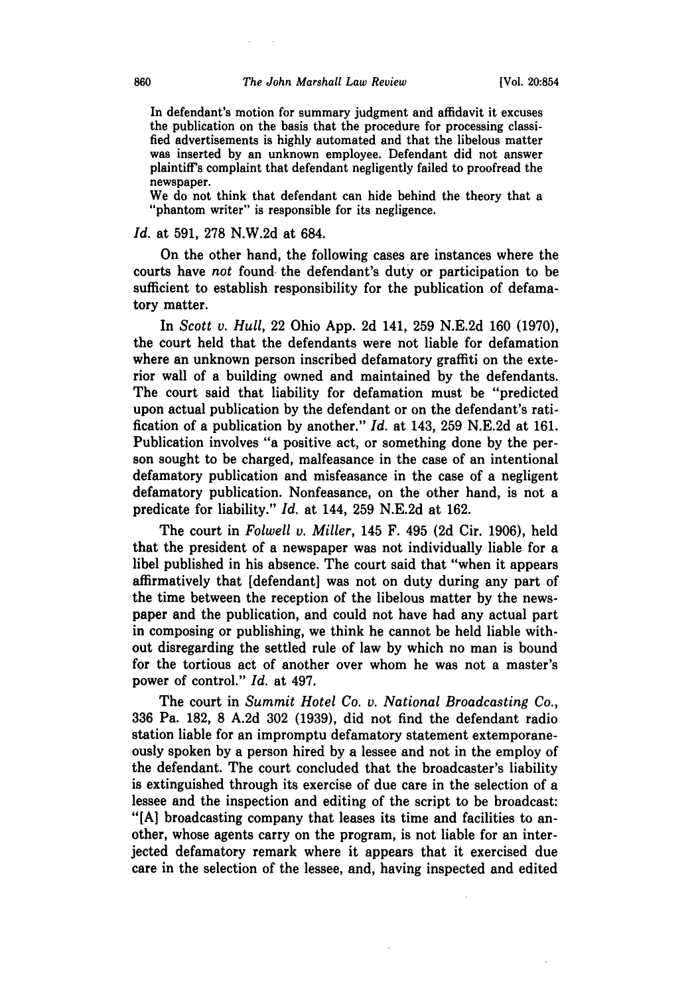In defendant's motion for summary judgment and affidavit it excuses the publication on the basis that the procedure for processing classified advertisements is **highly** automated and that the libelous matter was inserted **by** an unknown employee. Defendant did not answer plaintiff's complaint that defendant negligently failed to proofread the newspaper.

We do not think that defendant can hide behind the theory that a "phantom writer" is responsible for its negligence.

#### *Id.* at **591, 278 N.W.2d** at 684.

On the other hand, the following cases are instances where the courts have *not* found the defendant's duty or participation to be sufficient to establish responsibility for the publication of defamatory matter.

In *Scott v. Hull,* 22 Ohio **App. 2d** 141, **259 N.E.2d 160 (1970),** the court held that the defendants were not liable for defamation where an unknown person inscribed defamatory graffiti on the exterior wall of a building owned and maintained **by** the defendants. The court said that liability for defamation must be "predicted upon actual publication **by** the defendant or on the defendant's ratification of a publication **by** another." *Id.* at 143, **259 N.E.2d** at **161.** Publication involves "a positive act, or something done **by** the person sought to be charged, malfeasance in the case of an intentional defamatory publication and misfeasance in the case of a negligent defamatory publication. Nonfeasance, on the other hand, is not a predicate for liability." *Id.* at 144, **259 N.E.2d** at **162.**

The court in *Folwell v. Miller,* 145 F. 495 **(2d** Cir. **1906),** held that the president of a newspaper was not individually liable for a libel published in his absence. The court said that "when it appears affirmatively that [defendant] was not on duty during any part of the time between the reception of the libelous matter **by** the newspaper and the publication, and could not have had any actual part in composing or publishing, we think he cannot be held liable without disregarding the settled rule of law **by** which no man is bound for the tortious act of another over whom he was not a master's power of control." *Id.* at 497.

The court in *Summit Hotel Co. v. National Broadcasting Co.,* **336** Pa. **182, 8 A.2d 302 (1939),** did not find the defendant radio station liable for an impromptu defamatory statement extemporaneously spoken **by** a person hired **by** a lessee and not in the employ of the defendant. The court concluded that the broadcaster's liability is extinguished through its exercise of due care in the selection of a lessee and the inspection and editing of the script to be broadcast: **"[A]** broadcasting company that leases its time and facilities to another, whose agents carry on the program, is not liable for an interjected defamatory remark where it appears that it exercised due care in the selection of the lessee, and, having inspected and edited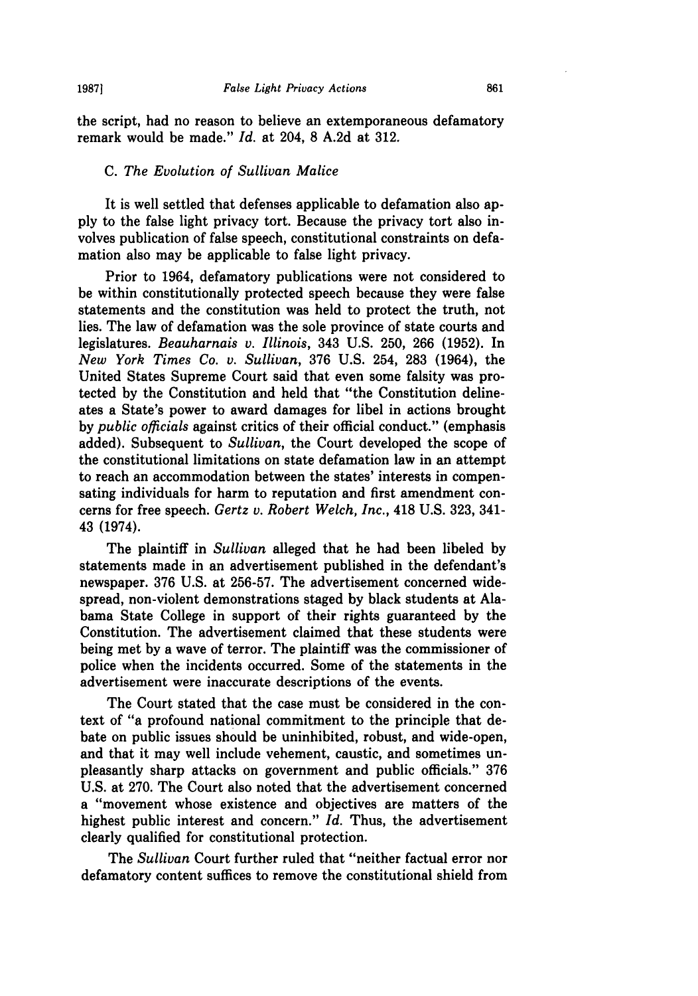the script, had no reason to believe an extemporaneous defamatory remark would be made." *Id.* at 204, **8 A.2d** at **312.**

#### *C. The Evolution of Sullivan Malice*

It is well settled that defenses applicable to defamation also ap**ply** to the false light privacy tort. Because the privacy tort also involves publication of false speech, constitutional constraints on defamation also may be applicable to false light privacy.

Prior to 1964, defamatory publications were not considered to be within constitutionally protected speech because they were false statements and the constitution was held to protect the truth, not lies. The law of defamation was the sole province of state courts and legislatures. *Beauharnais v. Illinois,* 343 **U.S. 250, 266 (1952).** In *New York Times Co. v. Sullivan,* **376 U.S.** 254, **283** (1964), the United States Supreme Court said that even some falsity was protected **by** the Constitution and held that "the Constitution delineates a State's power to award damages for libel in actions brought **by** *public officials* against critics of their official conduct." (emphasis added). Subsequent to *Sullivan,* the Court developed the scope of the constitutional limitations on state defamation law in an attempt to reach an accommodation between the states' interests in compensating individuals for harm to reputation and first amendment concerns for free speech. *Gertz v. Robert Welch, Inc.,* 418 **U.S. 323,** 341- 43 (1974).

The plaintiff in *Sullivan* alleged that he had been libeled **by** statements made in an advertisement published in the defendant's newspaper. **376 U.S.** at **256-57.** The advertisement concerned widespread, non-violent demonstrations staged **by** black students at Alabama State College in support of their rights guaranteed **by** the Constitution. The advertisement claimed that these students were being met **by** a wave of terror. The plaintiff was the commissioner of police when the incidents occurred. Some of the statements in the advertisement were inaccurate descriptions of the events.

The Court stated that the case must be considered in the context of "a profound national commitment to the principle that debate on public issues should be uninhibited, robust, and wide-open, and that it may well include vehement, caustic, and sometimes unpleasantly sharp attacks on government and public officials." **376 U.S.** at **270.** The Court also noted that the advertisement concerned a "movement whose existence and objectives are matters of the highest public interest and concern." *Id.* Thus, the advertisement clearly qualified for constitutional protection.

The *Sullivan* Court further ruled that "neither factual error nor defamatory content suffices to remove the constitutional shield from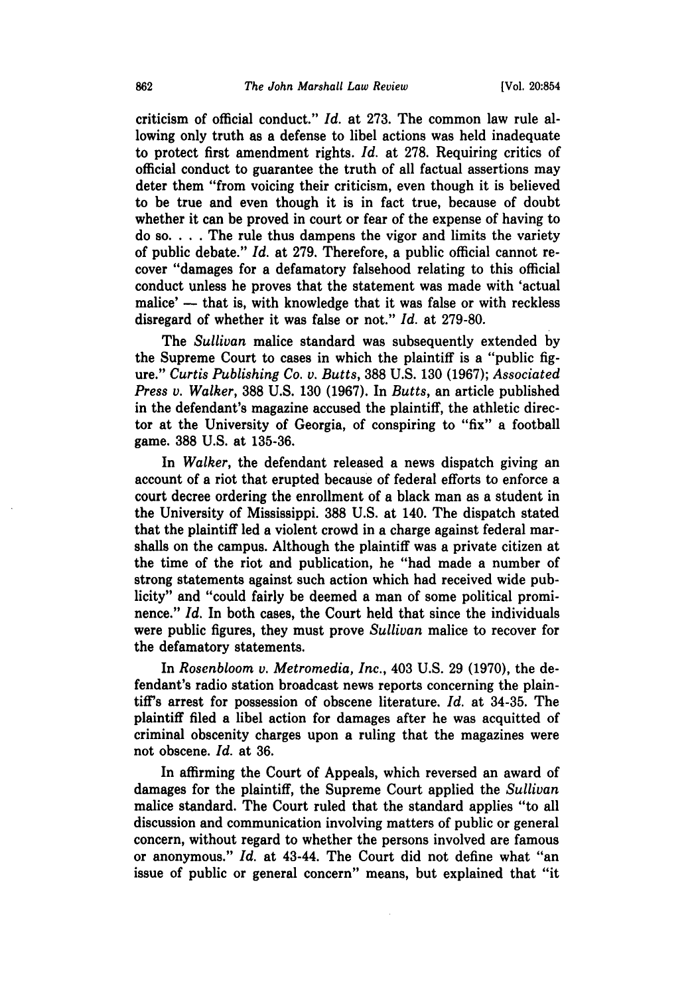criticism of official conduct." *Id.* at **273.** The common law rule allowing only truth as a defense to libel actions was held inadequate to protect first amendment rights. *Id.* at 278. Requiring critics of official conduct to guarantee the truth of all factual assertions may deter them "from voicing their criticism, even though it is believed to be true and even though it is in fact true, because of doubt whether it can be proved in court or fear of the expense of having to do **so.** . **.** . The rule thus dampens the vigor and limits the variety of public debate." *Id.* at 279. Therefore, a public official cannot recover "damages for a defamatory falsehood relating to this official conduct unless he proves that the statement was made with 'actual malice' -- that is, with knowledge that it was false or with reckless disregard of whether it was false or not." *Id.* at 279-80.

The *Sullivan* malice standard was subsequently extended by the Supreme Court to cases in which the plaintiff is a "public figure." *Curtis Publishing Co. v. Butts,* 388 U.S. 130 (1967); *Associated Press v. Walker,* 388 U.S. 130 (1967). In *Butts,* an article published in the defendant's magazine accused the plaintiff, the athletic director at the University of Georgia, of conspiring to "fix" a football game. 388 U.S. at 135-36.

In *Walker,* the defendant released a news dispatch giving an account of a riot that erupted because of federal efforts to enforce a court decree ordering the enrollment of a black man as a student in the University of Mississippi. 388 U.S. at 140. The dispatch stated that the plaintiff led a violent crowd in a charge against federal marshalls on the campus. Although the plaintiff was a private citizen at the time of the riot and publication, he "had made a number of strong statements against such action which had received wide publicity" and "could fairly be deemed a man of some political prominence." *Id.* In both cases, the Court held that since the individuals were public figures, they must prove *Sullivan* malice to recover for the defamatory statements.

In *Rosenbloom v. Metromedia, Inc.,* 403 U.S. 29 (1970), the defendant's radio station broadcast news reports concerning the plaintiff's arrest for possession of obscene literature. *Id.* at 34-35. The plaintiff filed a libel action for damages after he was acquitted of criminal obscenity charges upon a ruling that the magazines were not obscene. *Id.* at 36.

In affirming the Court of Appeals, which reversed an award of damages for the plaintiff, the Supreme Court applied the *Sullivan* malice standard. The Court ruled that the standard applies "to all discussion and communication involving matters of public or general concern, without regard to whether the persons involved are famous or anonymous." *Id.* at 43-44. The Court did not define what "an issue of public or general concern" means, but explained that "it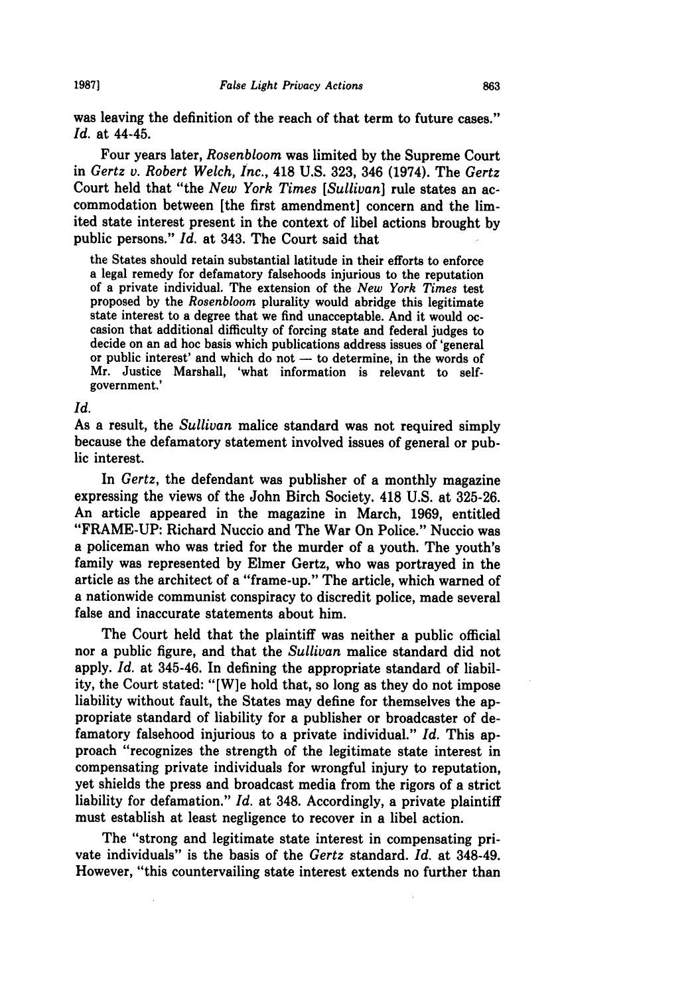was leaving the definition of the reach of that term to future cases." *Id.* at 44-45.

Four years later, *Rosenbloom* was limited **by** the Supreme Court in *Gertz v. Robert Welch, Inc.,* 418 **U.S. 323,** 346 (1974). The *Gertz* Court held that "the *New York Times [Sullivan]* rule states an accommodation between [the first amendment] concern and the limited state interest present in the context of libel actions brought **by** public persons." *Id.* at 343. The Court said that

the States should retain substantial latitude in their efforts to enforce a legal remedy for defamatory falsehoods injurious to the reputation of a private individual. The extension of the *New York Times* test proposed **by** the *Rosenbloom* plurality would abridge this legitimate state interest to a degree that we find unacceptable. And it would occasion that additional difficulty of forcing state and federal judges to decide on an ad hoc basis which publications address issues of 'general or public interest' and which do not - to determine, in the words of Mr. Justice Marshall, 'what information is relevant to selfgovernment.'

#### *Id.*

As a result, the *Sullivan* malice standard was not required simply because the defamatory statement involved issues of general or public interest.

In *Gertz,* the defendant was publisher of a monthly magazine expressing the views of the John Birch Society. 418 **U.S.** at **325-26.** An article appeared in the magazine in March, **1969,** entitled "FRAME-UP: Richard Nuccio and The War On Police." Nuccio was a policeman who was tried for the murder of a youth. The youth's family was represented **by** Elmer Gertz, who was portrayed in the article as the architect of a "frame-up." The article, which warned of a nationwide communist conspiracy to discredit police, made several false and inaccurate statements about him.

The Court held that the plaintiff was neither a public official nor a public figure, and that the *Sullivan* malice standard did not apply. *Id.* at 345-46. In defining the appropriate standard of liability, the Court stated: "[W]e hold that, so long as they do not impose liability without fault, the States may define for themselves the appropriate standard of liability for a publisher or broadcaster of defamatory falsehood injurious to a private individual." *Id.* This approach "recognizes the strength of the legitimate state interest in compensating private individuals for wrongful injury to reputation, yet shields the press and broadcast media from the rigors of a strict liability for defamation." *Id.* at 348. Accordingly, a private plaintiff must establish at least negligence to recover in a libel action.

The "strong and legitimate state interest in compensating private individuals" is the basis of the *Gertz* standard. *Id.* at 348-49. However, "this countervailing state interest extends no further than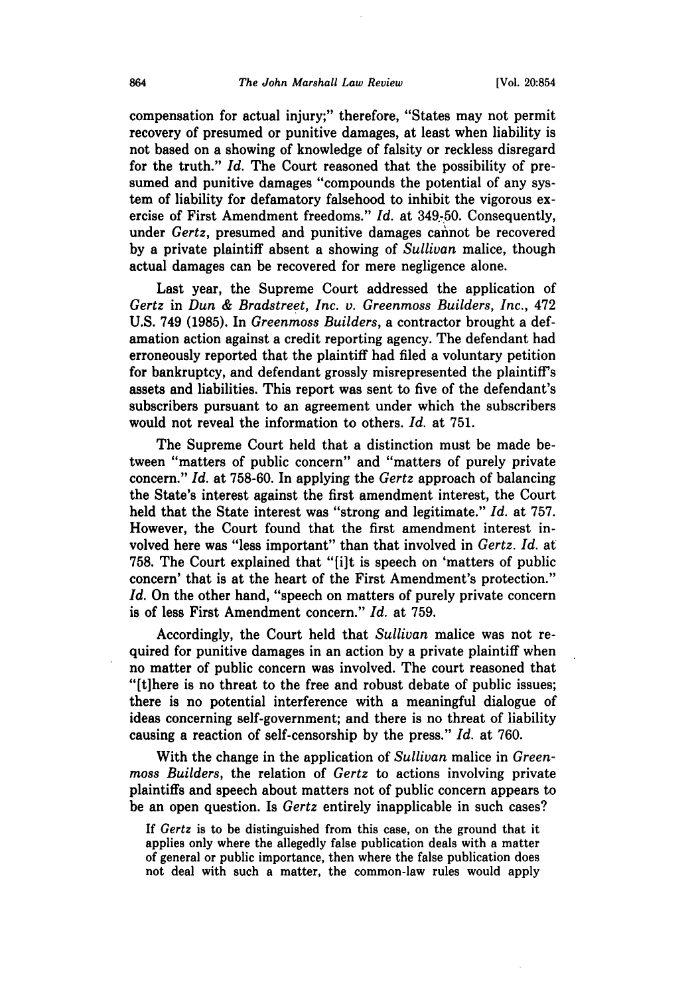compensation for actual injury;" therefore, "States may not permit recovery of presumed or punitive damages, at least when liability is not based on a showing of knowledge of falsity or reckless disregard for the truth." *Id.* The Court reasoned that the possibility of presumed and punitive damages "compounds the potential of any system of liability for defamatory falsehood to inhibit the vigorous exercise of First Amendment freedoms." *Id.* at 349-50. Consequently, under *Gertz*, presumed and punitive damages cannot be recovered by a private plaintiff absent a showing of *Sullivan* malice, though actual damages can be recovered for mere negligence alone.

Last year, the Supreme Court addressed the application of *Gertz* in *Dun & Bradstreet, Inc. v. Greenmoss Builders, Inc.,* 472 U.S. 749 (1985). In *Greenmoss Builders,* a contractor brought a defamation action against a credit reporting agency. The defendant had erroneously reported that the plaintiff had filed a voluntary petition for bankruptcy, and defendant grossly misrepresented the plaintiff's assets and liabilities. This report was sent to five of the defendant's subscribers pursuant to an agreement under which the subscribers would not reveal the information to others. *Id.* at **751.**

The Supreme Court held that a distinction must be made between "matters of public concern" and "matters of purely private concern." *Id.* at **758-60.** In applying the *Gertz* approach of balancing the State's interest against the first amendment interest, the Court held that the State interest was "strong and legitimate." *Id.* at **757.** However, the Court found that the first amendment interest involved here was "less important" than that involved in *Gertz. Id.* at 758. The Court explained that "[i]t is speech on 'matters of public concern' that is at the heart of the First Amendment's protection." *Id.* On the other hand, "speech on matters of purely private concern is of less First Amendment concern." *Id.* at **759.**

Accordingly, the Court held that *Sullivan* malice was not required for punitive damages in an action **by** a private plaintiff when no matter of public concern was involved. The court reasoned that "[tihere is no threat to the free and robust debate of public issues; there is no potential interference with a meaningful dialogue of ideas concerning self-government; and there is no threat of liability causing a reaction of self-censorship **by** the press." *Id.* at **760.**

With the change in the application of *Sullivan* malice in *Greenmoss Builders,* the relation of *Gertz* to actions involving private plaintiffs and speech about matters not of public concern appears to be an open question. Is *Gertz* entirely inapplicable in such cases?

If *Gertz* is to be distinguished from this case, on the ground that it applies only where the allegedly false publication deals with a matter of general or public importance, then where the false publication does not deal with such a matter, the common-law rules would apply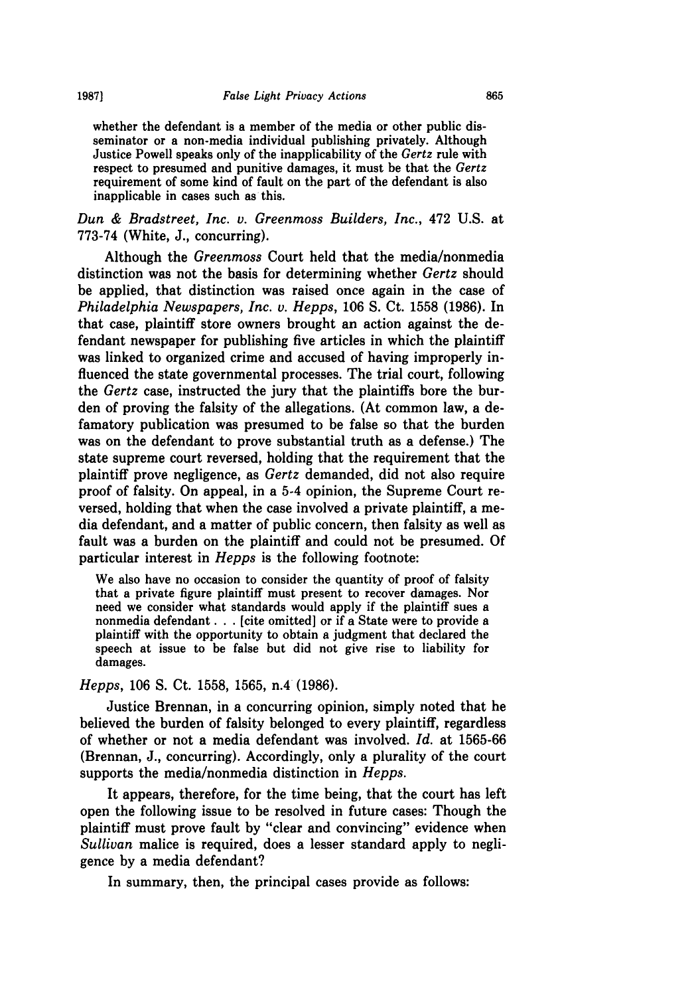whether the defendant is a member of the media or other public disseminator or a non-media individual publishing privately. Although Justice Powell speaks only of the inapplicability of the *Gertz* rule with respect to presumed and punitive damages, it must be that the *Gertz* requirement of some kind of fault on the part of the defendant is also inapplicable in cases such as this.

*Dun & Bradstreet, Inc. v. Greenmoss Builders, Inc.,* 472 U.S. at 773-74 (White, J., concurring).

Although the *Greenmoss* Court held that the media/nonmedia distinction was not the basis for determining whether *Gertz* should be applied, that distinction was raised once again in the case of *Philadelphia Newspapers, Inc. v. Hepps,* 106 S. Ct. 1558 (1986). In that case, plaintiff store owners brought an action against the defendant newspaper for publishing five articles in which the plaintiff was linked to organized crime and accused of having improperly influenced the state governmental processes. The trial court, following the *Gertz* case, instructed the jury that the plaintiffs bore the burden of proving the falsity of the allegations. (At common law, a defamatory publication was presumed to be false so that the burden was on the defendant to prove substantial truth as a defense.) The state supreme court reversed, holding that the requirement that the plaintiff prove negligence, as *Gertz* demanded, did not also require proof of falsity. On appeal, in a 5-4 opinion, the Supreme Court reversed, holding that when the case involved a private plaintiff, a media defendant, and a matter of public concern, then falsity as well as fault was a burden on the plaintiff and could not be presumed. Of particular interest in *Hepps* is the following footnote:

We also have no occasion to consider the quantity of proof of falsity that a private figure plaintiff must present to recover damages. Nor need we consider what standards would apply if the plaintiff sues a nonmedia defendant **...** [cite omitted] or if a State were to provide a plaintiff with the opportunity to obtain a judgment that declared the speech at issue to be false but did not give rise to liability for damages.

*Hepps,* 106 S. Ct. 1558, 1565, n.4 (1986).

Justice Brennan, in a concurring opinion, simply noted that he believed the burden of falsity belonged to every plaintiff, regardless of whether or not a media defendant was involved. *Id.* at 1565-66 (Brennan, J., concurring). Accordingly, only a plurality of the court supports the media/nonmedia distinction in *Hepps.*

It appears, therefore, for the time being, that the court has left open the following issue to be resolved in future cases: Though the plaintiff must prove fault by "clear and convincing" evidence when *Sullivan* malice is required, does a lesser standard apply to negligence by a media defendant?

In summary, then, the principal cases provide as follows: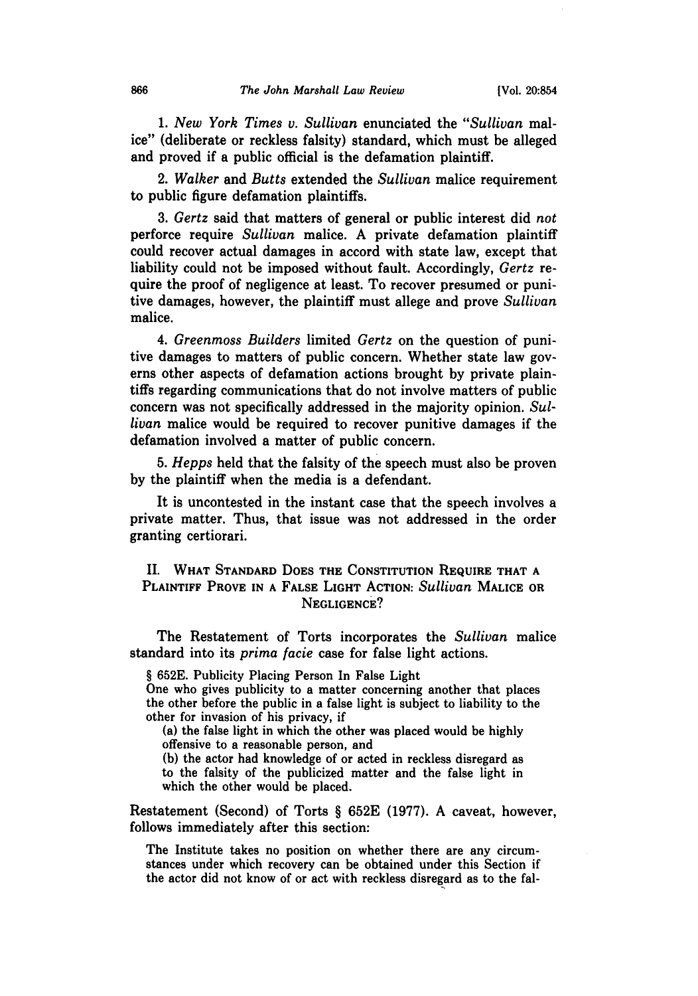*1. New York Times v. Sullivan* enunciated the *"Sullivan* malice" (deliberate or reckless falsity) standard, which must be alleged and proved if a public official is the defamation plaintiff.

2. *Walker* and *Butts* extended the *Sullivan* malice requirement to public figure defamation plaintiffs.

*3. Gertz* said that matters of general or public interest did *not* perforce require *Sullivan* malice. A private defamation plaintiff could recover actual damages in accord with state law, except that liability could not be imposed without fault. Accordingly, *Gertz* require the proof of negligence at least. To recover presumed or punitive damages, however, the plaintiff must allege and prove *Sullivan* malice.

*4. Greenmoss Builders* limited *Gertz* on the question of punitive damages to matters of public concern. Whether state law governs other aspects of defamation actions brought by private plaintiffs regarding communications that do not involve matters of public concern was not specifically addressed in the majority opinion. *Sullivan* malice would be required to recover punitive damages if the defamation involved a matter of public concern.

*5. Hepps* held that the falsity of the speech must also be proven by the plaintiff when the media is a defendant.

It is uncontested in the instant case that the speech involves a private matter. Thus, that issue was not addressed in the order granting certiorari.

# II. **WHAT STANDARD DOES THE CONSTITUTION REQUIRE THAT A PLAINTIFF PROVE IN A FALSE LIGHT ACTION:** *Sullivan* **MALICE OR NEGLIGENCE?**

The Restatement of Torts incorporates the *Sullivan* malice standard into its *prima facie* case for false light actions.

§ **652E.** Publicity Placing Person In False Light One who gives publicity to a **matter concerning another that places** the other before the public in a false light is subject to liability to the other for invasion of his privacy, if

(a) the false light in which the other was placed would be **highly offensive to a reasonable person, and**

**(b)** the actor had knowledge of or acted in reckless disregard as to the falsity of the publicized matter and the false light in **which the other would be placed.**

Restatement (Second) of Torts § **652E (1977). A caveat, however,** follows immediately after this section:

The Institute takes no position on whether there are any circumstances under which recovery can be obtained under this Section if the actor did not know of or act with reckless disregard as to the fal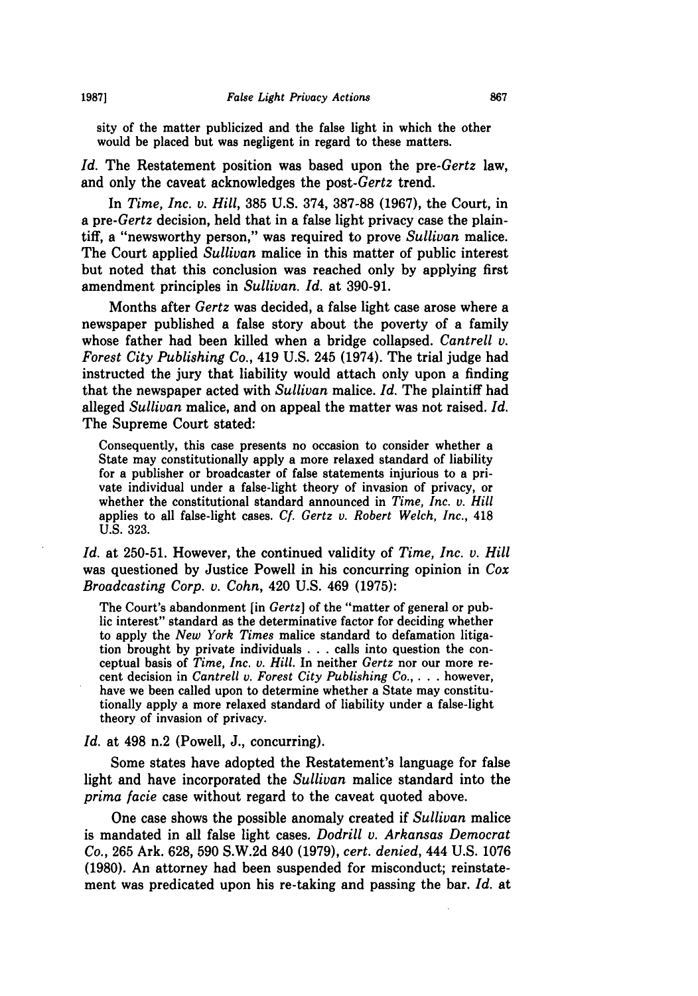sity of the matter publicized and the false light in which the other would be placed but was negligent in regard to these matters.

*Id.* The Restatement position was based upon the *pre-Gertz* law, and only the caveat acknowledges the *post-Gertz* trend.

In *Time, Inc. v. Hill,* **385 U.S.** 374, **387-88 (1967),** the Court, in *a pre-Gertz* decision, held that in a false light privacy case the plaintiff, a "newsworthy person," was required to prove *Sullivan* malice. The Court applied *Sullivan* malice in this matter of public interest but noted that this conclusion was reached only **by** applying first amendment principles in *Sullivan. Id.* at **390-91.**

Months after *Gertz* was decided, a false light case arose where a newspaper published a false story about the poverty of a family whose father had been killed when a bridge collapsed. *Cantrell v. Forest City Publishing* Co., 419 **U.S.** 245 (1974). The trial judge had instructed the jury that liability would attach only upon a finding that the newspaper acted with *Sullivan* malice. *Id.* The plaintiff had alleged *Sullivan* malice, and on appeal the matter was not raised. *Id.* The Supreme Court stated:

Consequently, this case presents no occasion to consider whether a State may constitutionally apply a more relaxed standard of liability for a publisher or broadcaster of false statements injurious to a private individual under a false-light theory of invasion of privacy, or whether the constitutional standard announced in *Time, Inc. v. Hill* applies to all false-light cases. *Cf Gertz v. Robert Welch, Inc.,* 418 **U.S. 323.**

*Id.* at **250-51.** However, the continued validity of *Time, Inc. v. Hill* was questioned **by** Justice Powell in his concurring opinion in *Cox Broadcasting Corp. v. Cohn,* 420 **U.S.** 469 **(1975):**

The Court's abandonment [in *Gertz]* of the "matter of general or public interest" standard as the determinative factor for deciding whether to apply the *New York Times* malice standard to defamation litigation brought **by** private individuals **. . .** calls into question the conceptual basis of *Time, Inc. v. Hill.* In neither *Gertz* nor our more recent decision in *Cantrell v. Forest City Publishing Co.,* . **. .** however, have we been called upon to determine whether a State may constitutionally apply a more relaxed standard of liability under a false-light theory of invasion of privacy.

*Id.* at 498 n.2 (Powell, **J.,** concurring).

Some states have adopted the Restatement's language for false light and have incorporated the *Sullivan* malice standard into the *prima facie* case without regard to the caveat quoted above.

One case shows the possible anomaly created if *Sullivan* malice is mandated in all false light cases. *Dodrill v. Arkansas Democrat* Co., **265** Ark. **628, 590 S.W.2d** 840 **(1979),** *cert. denied,* 444 **U.S. 1076 (1980).** An attorney had been suspended for misconduct; reinstatement was predicated upon his re-taking and passing the bar. *Id.* at

**1987]**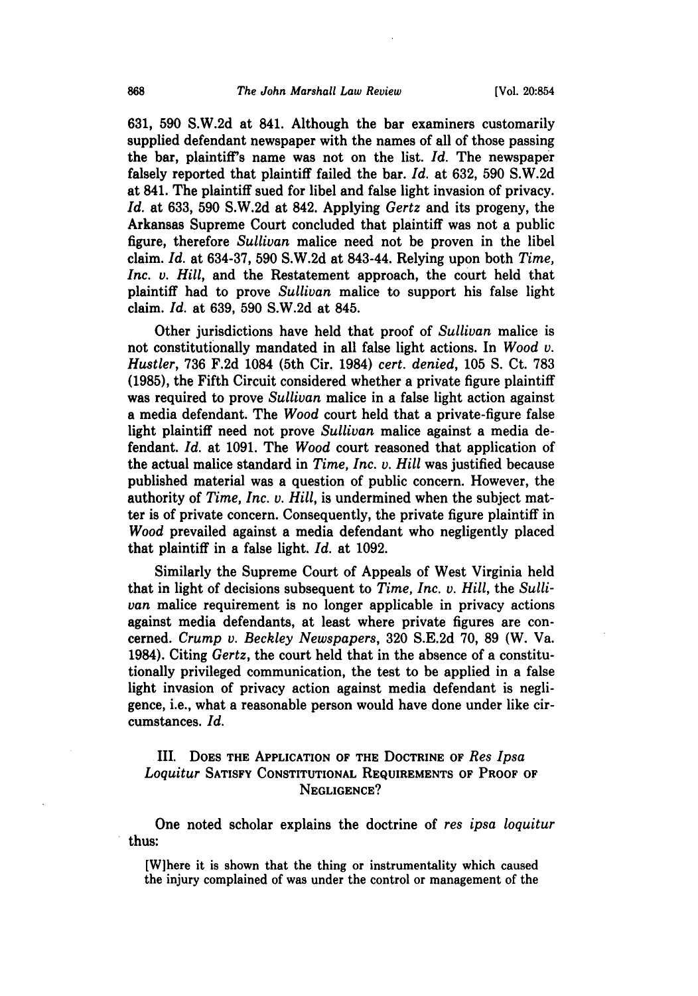**631, 590 S.W.2d** at 841. Although the bar examiners customarily supplied defendant newspaper with the names of all of those passing the bar, plaintiff's name was not on the list. *Id.* The newspaper falsely reported that plaintiff failed the bar. *Id.* at **632, 590 S.W.2d** at 841. The plaintiff sued for libel and false light invasion of privacy. *Id.* at **633, 590 S.W.2d** at 842. Applying *Gertz* and its progeny, the Arkansas Supreme Court concluded that plaintiff was not a public figure, therefore *Sullivan* malice need not be proven in the libel claim. *Id.* at **634-37, 590 S.W.2d** at 843-44. Relying upon both *Time, Inc. v. Hill,* and the Restatement approach, the court held that plaintiff had to prove *Sullivan* malice to support his false light claim. *Id.* at **639, 590 S.W.2d** at 845.

Other jurisdictions have held that proof of *Sullivan* malice is not constitutionally mandated in all false light actions. In *Wood v. Hustler,* **736 F.2d** 1084 (5th Cir. 1984) *cert. denied,* **105 S.** Ct. **783 (1985),** the Fifth Circuit considered whether a private figure plaintiff was required to prove *Sullivan* malice in a false light action against a media defendant. The *Wood* court held that a private-figure false light plaintiff need not prove *Sullivan* malice against a media defendant. *Id.* at **1091.** The *Wood* court reasoned that application of the actual malice standard in *Time, Inc. v. Hill* was justified because published material was a question of public concern. However, the authority of *Time, Inc. v. Hill,* is undermined when the subject matter is of private concern. Consequently, the private figure plaintiff in *Wood* prevailed against a media defendant who negligently placed that plaintiff in a false light. *Id.* at **1092.**

Similarly the Supreme Court of Appeals of West Virginia held that in light of decisions subsequent to *Time, Inc. v. Hill,* the *Sullivan* malice requirement is no longer applicable in privacy actions against media defendants, at least where private figures are concerned. *Crump v. Beckley Newspapers,* **320 S.E.2d 70, 89** (W. Va. 1984). Citing *Gertz,* the court held that in the absence of a constitutionally privileged communication, the test to be applied in a false light invasion of privacy action against media defendant is negligence, i.e., what a reasonable person would have done under like circumstances. *Id.*

# III. **DOES THE APPLICATION OF THE DOCTRINE OF** *Res Ipsa Loquitur* **SATISFY CONSTITUTIONAL REQUIREMENTS OF PROOF OF NEGLIGENCE?**

One noted scholar explains the doctrine of *res ipsa loquitur* thus:

[Wihere it is shown that the thing or instrumentality which caused the injury complained of was under the control or management of the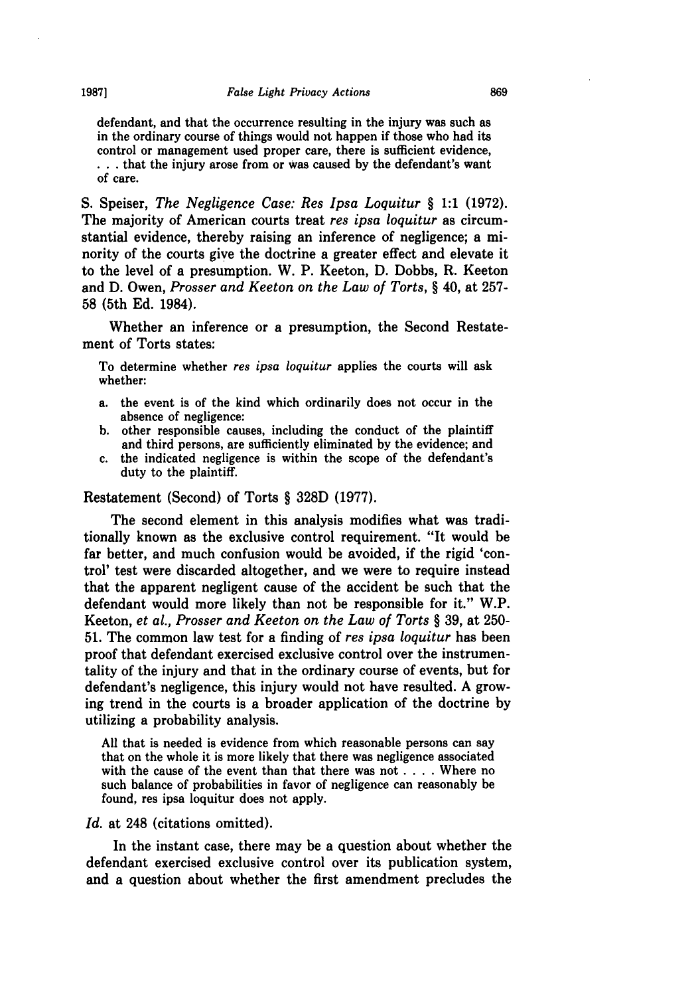defendant, and that the occurrence resulting in the injury was such as in the ordinary course of things would not happen if those who had its control or management used proper care, there is sufficient evidence, **• . .** that the injury arose from or was caused **by** the defendant's want of care.

**S.** Speiser, *The Negligence Case: Res Ipsa Loquitur* § **1:1 (1972).** The majority of American courts treat *res ipsa loquitur* as circumstantial evidence, thereby raising an inference of negligence; a minority of the courts give the doctrine a greater effect and elevate it to the level of a presumption. W. P. Keeton, **D.** Dobbs, R. Keeton and **D.** Owen, *Prosser and Keeton on the Law of Torts,* § 40, at **257- 58** (5th **Ed.** 1984).

Whether an inference or a presumption, the Second Restatement of Torts states:

To determine whether *res ipsa loquitur* applies the courts will ask whether:

- a. the event is of the kind which ordinarily does not occur in the absence of negligence:
- **b.** other responsible causes, including the conduct of the plaintiff and third persons, are sufficiently eliminated **by** the evidence; and
- c. the indicated negligence is within the scope of the defendant's duty to the plaintiff.

#### Restatement (Second) of Torts § **328D (1977).**

The second element in this analysis modifies what was traditionally known as the exclusive control requirement. "It would be far better, and much confusion would be avoided, if the rigid 'control' test were discarded altogether, and we were to require instead that the apparent negligent cause of the accident be such that the defendant would more likely than not be responsible for it." W.P. Keeton, *et al., Prosser and Keeton on the Law of Torts* § **39,** at **250- 51.** The common law test for a finding of *res ipsa loquitur* has been proof that defendant exercised exclusive control over the instrumentality of the injury and that in the ordinary course of events, but for defendant's negligence, this injury would not have resulted. **A** growing trend in the courts is a broader application of the doctrine **by** utilizing a probability analysis.

**All** that is needed is evidence from which reasonable persons can say that on the whole it is more likely that there was negligence associated with the cause of the event than that there was not .... Where no such balance of probabilities in favor of negligence can reasonably be found, res ipsa loquitur does not apply.

#### Id. at 248 (citations omitted).

In the instant case, there may be a question about whether the defendant exercised exclusive control over its publication system, and a question about whether the first amendment precludes the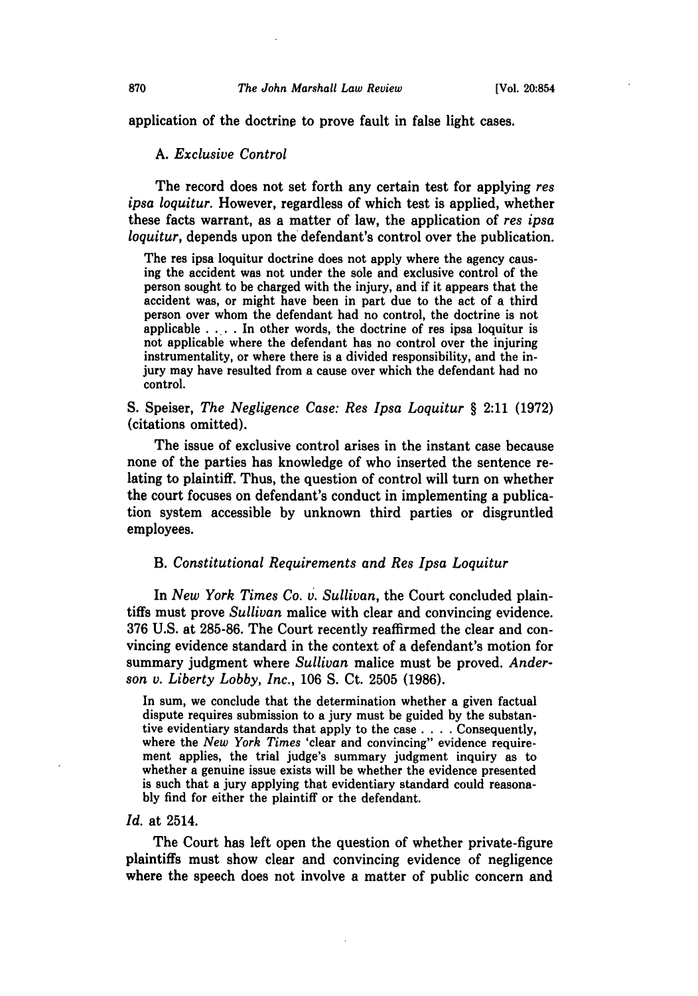application of the doctrine to prove fault in false light cases.

#### *A. Exclusive Control*

The record does not set forth any certain test for applying *res ipsa loquitur.* However, regardless of which test is applied, whether these facts warrant, as a matter of law, the application of *res ipsa loquitur,* depends upon the defendant's control over the publication.

The res ipsa loquitur doctrine does not apply where the agency causing the accident was not under the sole and exclusive control of the person sought to be charged with the injury, and if it appears that the accident was, or might have been in part due to the act of a third person over whom the defendant had no control, the doctrine is not applicable **. .. .** In other words, the doctrine of res ipsa loquitur is not applicable where the defendant has no control over the injuring instrumentality, or where there is a divided responsibility, and the injury may have resulted from a cause over which the defendant had no control.

**S.** Speiser, *The Negligence Case: Res Ipsa Loquitur* § 2:11 **(1972)** (citations omitted).

The issue of exclusive control arises in the instant case because none of the parties has knowledge of who inserted the sentence relating to plaintiff. Thus, the question of control will turn on whether the court focuses on defendant's conduct in implementing a publication system accessible **by** unknown third parties or disgruntled employees.

### B. *Constitutional Requirements and Res Ipsa Loquitur*

In *New York Times Co. v. Sullivan,* the Court concluded plaintiffs must prove *Sullivan* malice with clear and convincing evidence. **376 U.S.** at **285-86.** The Court recently reaffirmed the clear and convincing evidence standard in the context of a defendant's motion for summary judgment where *Sullivan* malice must be proved. *Anderson v. Liberty Lobby, Inc.,* **106 S.** Ct. **2505 (1986).**

In sum, we conclude that the determination whether a given factual dispute requires submission to a jury must be guided **by** the substantive evidentiary standards that apply to the case .... Consequently, where the *New York Times* 'clear and convincing" evidence requirement applies, the trial judge's summary judgment inquiry as to whether a genuine issue exists will be whether the evidence presented is such that a jury applying that evidentiary standard could reasona**bly** find for either the plaintiff or the defendant.

#### *Id.* at 2514.

The Court has left open the question of whether private-figure plaintiffs must show clear and convincing evidence of negligence where the speech does not involve a matter of public concern and